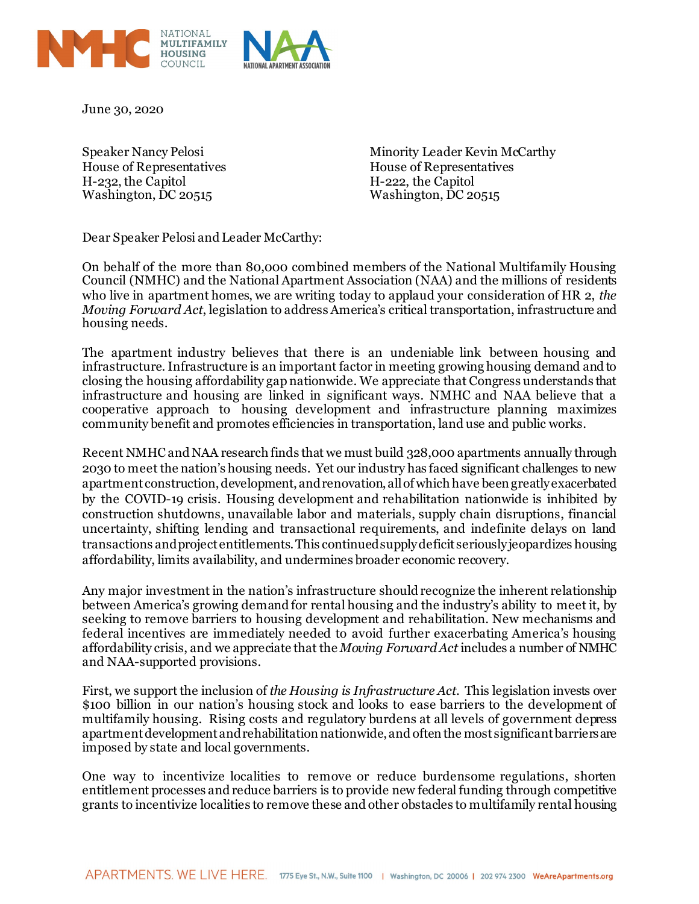

June 30, 2020

House of Representatives<br>
H-232, the Capitol<br>
H-232, the Capitol<br>
H-222, the Capitol H-232, the Capitol<br>
Washington, DC 20515<br>
Washington, DC 20515 Washington,  $\overline{DC}$  20515

Speaker Nancy Pelosi **Minority Leader Kevin McCarthy** 

Dear Speaker Pelosi and Leader McCarthy:

On behalf of the more than 80,000 combined members of the National Multifamily Housing Council (NMHC) and the National Apartment Association (NAA) and the millions of residents who live in apartment homes, we are writing today to applaud your consideration of HR 2, *the Moving Forward Act*, legislation to address America's critical transportation, infrastructure and housing needs.

The apartment industry believes that there is an undeniable link between housing and infrastructure. Infrastructure is an important factor in meeting growing housing demand and to closing the housing affordability gap nationwide. We appreciate that Congress understands that infrastructure and housing are linked in significant ways. NMHC and NAA believe that a cooperative approach to housing development and infrastructure planning maximizes community benefit and promotes efficiencies in transportation, land use and public works.

Recent NMHC and NAA research finds that we must build 328,000 apartments annually through 2030 to meet the nation's housing needs. Yet our industry has faced significant challenges to new apartment construction, development, and renovation, all of which have been greatly exacerbated by the COVID-19 crisis. Housing development and rehabilitation nationwide is inhibited by construction shutdowns, unavailable labor and materials, supply chain disruptions, financial uncertainty, shifting lending and transactional requirements, and indefinite delays on land transactions and project entitlements. This continued supply deficit seriously jeopardizes housing affordability, limits availability, and undermines broader economic recovery.

Any major investment in the nation's infrastructure should recognize the inherent relationship between America's growing demand for rental housing and the industry's ability to meet it, by seeking to remove barriers to housing development and rehabilitation. New mechanisms and federal incentives are immediately needed to avoid further exacerbating America's housing affordability crisis, and we appreciate that the *Moving Forward Act* includes a number of NMHC and NAA-supported provisions.

First, we support the inclusion of *the Housing is Infrastructure Act*. This legislation invests over \$100 billion in our nation's housing stock and looks to ease barriers to the development of multifamily housing. Rising costs and regulatory burdens at all levels of government depress apartment development and rehabilitation nationwide, and oftenthe most significant barriers are imposed by state and local governments.

One way to incentivize localities to remove or reduce burdensome regulations, shorten entitlement processes and reduce barriers is to provide new federal funding through competitive grants to incentivize localities to remove these and other obstacles to multifamily rental housing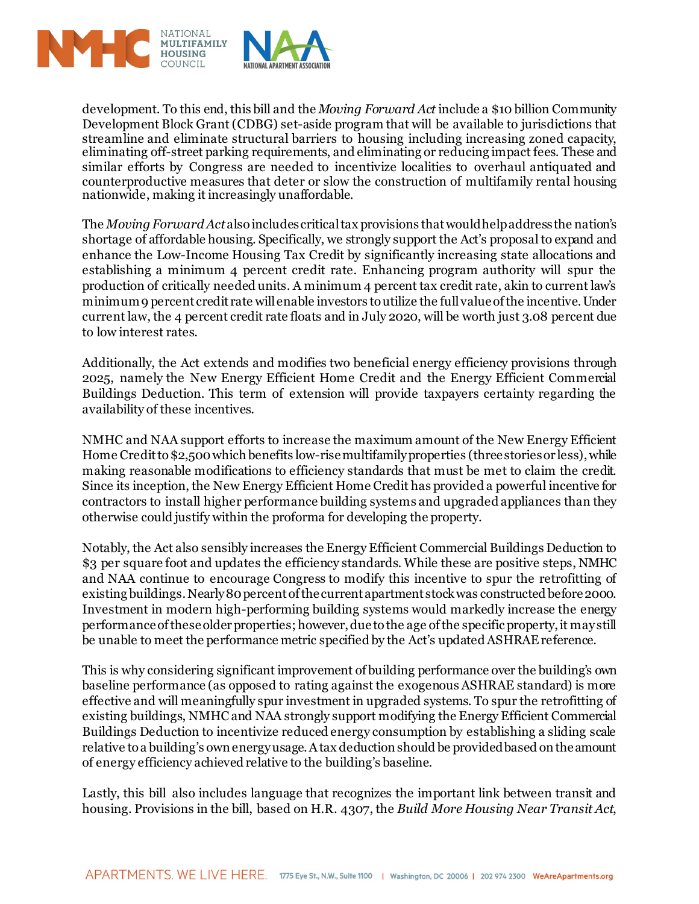

development. To this end, this bill and the *Moving Forward Act* include a \$10 billion Community Development Block Grant (CDBG) set-aside program that will be available to jurisdictions that streamline and eliminate structural barriers to housing including increasing zoned capacity, eliminating off-street parking requirements, and eliminating or reducing impact fees. These and similar efforts by Congress are needed to incentivize localities to overhaul antiquated and counterproductive measures that deter or slow the construction of multifamily rental housing nationwide, making it increasingly unaffordable.

The *Moving Forward Act* also includes critical tax provisions that would help address the nation's shortage of affordable housing. Specifically, we strongly support the Act's proposal to expand and enhance the Low-Income Housing Tax Credit by significantly increasing state allocations and establishing a minimum 4 percent credit rate. Enhancing program authority will spur the production of critically needed units. A minimum 4 percent tax credit rate, akin to current law's minimum 9 percent credit rate will enable investors to utilize the full value of the incentive. Under current law, the 4 percent credit rate floats and in July 2020, will be worth just 3.08 percent due to low interest rates.

Additionally, the Act extends and modifies two beneficial energy efficiency provisions through 2025, namely the New Energy Efficient Home Credit and the Energy Efficient Commercial Buildings Deduction. This term of extension will provide taxpayers certainty regarding the availability of these incentives.

NMHC and NAA support efforts to increase the maximum amount of the New Energy Efficient Home Credit to \$2,500 which benefits low-rise multifamily properties (three stories or less), while making reasonable modifications to efficiency standards that must be met to claim the credit. Since its inception, the New Energy Efficient Home Credit has provided a powerful incentive for contractors to install higher performance building systems and upgraded appliances than they otherwise could justify within the proforma for developing the property.

Notably, the Act also sensibly increases the Energy Efficient Commercial Buildings Deduction to \$3 per square foot and updates the efficiency standards. While these are positive steps, NMHC and NAA continue to encourage Congress to modify this incentive to spur the retrofitting of existing buildings. Nearly 80 percent of the current apartment stock was constructed before 2000. Investment in modern high-performing building systems would markedly increase the energy performance of these older properties; however, due to the age of the specific property, it may still be unable to meet the performance metric specified by the Act's updated ASHRAE reference.

This is why considering significant improvement of building performance over the building's own baseline performance (as opposed to rating against the exogenous ASHRAE standard) is more effective and will meaningfully spur investment in upgraded systems. To spur the retrofitting of existing buildings, NMHC and NAA strongly support modifying the Energy Efficient Commercial Buildings Deduction to incentivize reduced energy consumption by establishing a sliding scale relative to a building's own energy usage. A tax deduction should be provided based on the amount of energy efficiency achieved relative to the building's baseline.

Lastly, this bill also includes language that recognizes the important link between transit and housing. Provisions in the bill, based on H.R. 4307, the *Build More Housing Near Transit Act*,